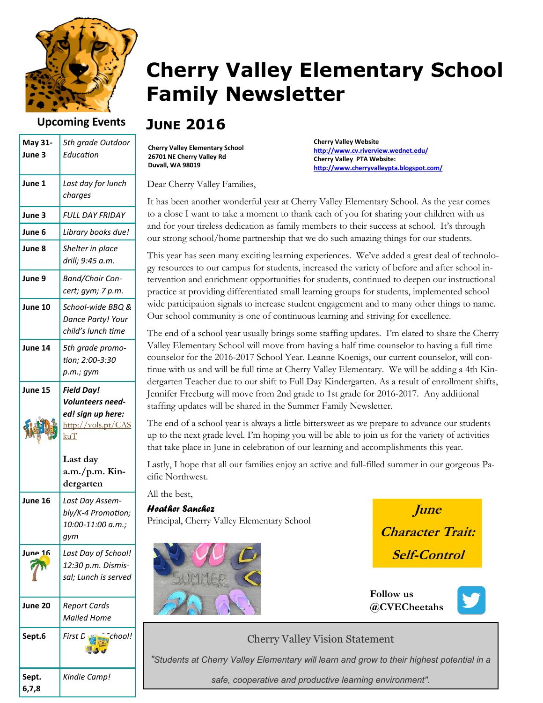

### **Upcoming Events**

| May 31-<br>June 3 | 5th grade Outdoor<br>Education                                                          |
|-------------------|-----------------------------------------------------------------------------------------|
| June 1            | Last day for lunch<br>charges                                                           |
| June 3            | FULL DAY FRIDAY                                                                         |
| June 6            | Library books due!                                                                      |
| June 8            | Shelter in place<br>drill; 9:45 a.m.                                                    |
| June 9            | <b>Band/Choir Con-</b><br>cert; gym; 7 p.m.                                             |
| June 10           | School-wide BBQ &<br>Dance Party! Your<br>child's lunch time                            |
| June 14           | 5th grade promo-<br>tion; 2:00-3:30<br>p.m.; gym                                        |
| June 15           | <b>Field Day!</b><br>Volunteers need-<br>ed! sign up here:<br>http://vols.pt/CAS<br>kuT |
|                   | Last day<br>a.m./p.m. Kin-<br>dergarten                                                 |
| June 16           | Last Day Assem-<br>bly/K-4 Promotion;<br>10:00-11:00 a.m.;<br>gym                       |
| June 16           | Last Day of School!<br>12:30 p.m. Dismis-<br>sal; Lunch is served                       |
| June 20           | <b>Report Cards</b><br><b>Mailed Home</b>                                               |
| Sept.6            | chool!<br>First D                                                                       |
| Sept.<br>6,7,8    | Kindie Camp!                                                                            |

# **Cherry Valley Elementary School Family Newsletter**

## **JUNE 2016**

**Cherry Valley Elementary School 26701 NE Cherry Valley Rd Duvall, WA 98019**

**Cherry Valley Website [http://www.cv.riverview.wednet.edu/](http://www.cv.riverview.wednet.edu/about/contact_us/default.aspx) Cherry Valley PTA Website: [http://www.cherryvalleypta.blogspot.com/](http://www.cv.riverview.wednet.edu/about/contact_us/default.aspx)**

Dear Cherry Valley Families,

It has been another wonderful year at Cherry Valley Elementary School. As the year comes to a close I want to take a moment to thank each of you for sharing your children with us and for your tireless dedication as family members to their success at school. It's through our strong school/home partnership that we do such amazing things for our students.

This year has seen many exciting learning experiences. We've added a great deal of technology resources to our campus for students, increased the variety of before and after school intervention and enrichment opportunities for students, continued to deepen our instructional practice at providing differentiated small learning groups for students, implemented school wide participation signals to increase student engagement and to many other things to name. Our school community is one of continuous learning and striving for excellence.

The end of a school year usually brings some staffing updates. I'm elated to share the Cherry Valley Elementary School will move from having a half time counselor to having a full time counselor for the 2016-2017 School Year. Leanne Koenigs, our current counselor, will continue with us and will be full time at Cherry Valley Elementary. We will be adding a 4th Kindergarten Teacher due to our shift to Full Day Kindergarten. As a result of enrollment shifts, Jennifer Freeburg will move from 2nd grade to 1st grade for 2016-2017. Any additional staffing updates will be shared in the Summer Family Newsletter.

The end of a school year is always a little bittersweet as we prepare to advance our students up to the next grade level. I'm hoping you will be able to join us for the variety of activities that take place in June in celebration of our learning and accomplishments this year.

Lastly, I hope that all our families enjoy an active and full-filled summer in our gorgeous Pacific Northwest.

All the best,

#### *Heather Sanchez* Principal, Cherry Valley Elementary School



**June Character Trait: Self-Control**

**Follow us @CVECheetahs**



### Cherry Valley Vision Statement

*"Students at Cherry Valley Elementary will learn and grow to their highest potential in a* 

*safe, cooperative and productive learning environment".*